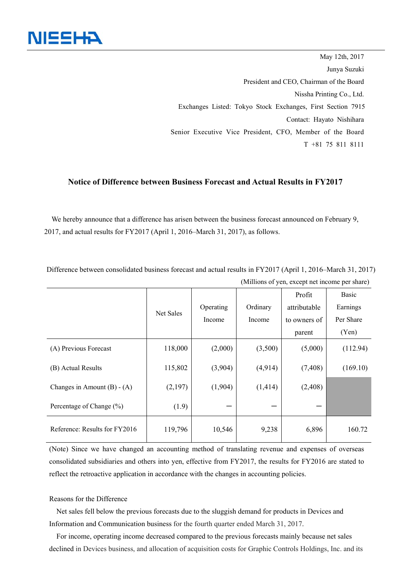

May 12th, 2017 Junya Suzuki President and CEO, Chairman of the Board Nissha Printing Co., Ltd. Exchanges Listed: Tokyo Stock Exchanges, First Section 7915 Contact: Hayato Nishihara Senior Executive Vice President, CFO, Member of the Board T +81 75 811 8111

## **Notice of Difference between Business Forecast and Actual Results in FY2017**

We hereby announce that a difference has arisen between the business forecast announced on February 9, 2017, and actual results for FY2017 (April 1, 2016–March 31, 2017), as follows.

Difference between consolidated business forecast and actual results in FY2017 (April 1, 2016–March 31, 2017) (Millions of yen, except net income per share)

|                               | Net Sales | Operating<br>Income | Ordinary<br>Income | Profit<br>attributable<br>to owners of<br>parent | Basic<br>Earnings<br>Per Share<br>(Yen) |
|-------------------------------|-----------|---------------------|--------------------|--------------------------------------------------|-----------------------------------------|
| (A) Previous Forecast         | 118,000   | (2,000)             | (3,500)            | (5,000)                                          | (112.94)                                |
| (B) Actual Results            | 115,802   | (3,904)             | (4,914)            | (7, 408)                                         | (169.10)                                |
| Changes in Amount $(B) - (A)$ | (2,197)   | (1,904)             | (1, 414)           | (2,408)                                          |                                         |
| Percentage of Change (%)      | (1.9)     |                     |                    |                                                  |                                         |
| Reference: Results for FY2016 | 119,796   | 10,546              | 9,238              | 6,896                                            | 160.72                                  |

(Note) Since we have changed an accounting method of translating revenue and expenses of overseas consolidated subsidiaries and others into yen, effective from FY2017, the results for FY2016 are stated to reflect the retroactive application in accordance with the changes in accounting policies.

## Reasons for the Difference

Net sales fell below the previous forecasts due to the sluggish demand for products in Devices and Information and Communication business for the fourth quarter ended March 31, 2017.

For income, operating income decreased compared to the previous forecasts mainly because net sales declined in Devices business, and allocation of acquisition costs for Graphic Controls Holdings, Inc. and its